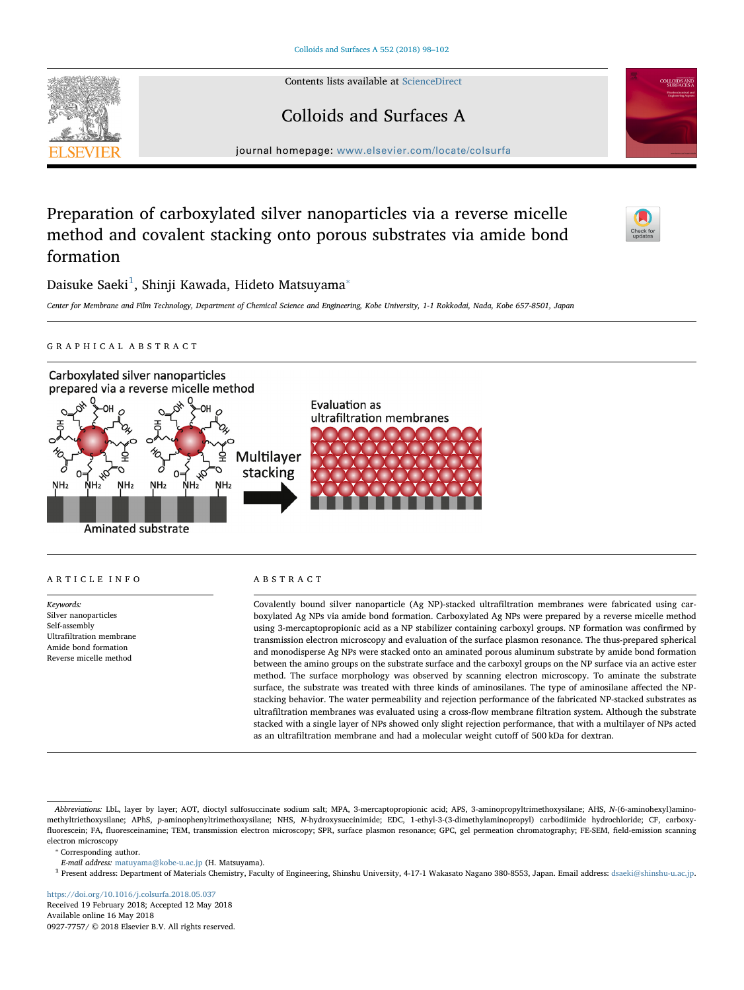Contents lists available at [ScienceDirect](http://www.sciencedirect.com/science/journal/09277757)

Colloids and Surfaces A

journal homepage: [www.elsevier.com/locate/colsurfa](https://www.elsevier.com/locate/colsurfa)



# Preparation of carboxylated silver nanoparticles via a reverse micelle method and covalent stacking onto porous substrates via amide bond formation



Daisuke Saeki $^1$  $^1$ , Shinji Kawada, Hideto Matsuyama $^\ast$ 

Center for Membrane and Film Technology, Department of Chemical Science and Engineering, Kobe University, 1-1 Rokkodai, Nada, Kobe 657-8501, Japan

# GRAPHICAL ABSTRACT



# ARTICLE INFO

Keywords: Silver nanoparticles Self-assembly Ultrafiltration membrane Amide bond formation Reverse micelle method

ABSTRACT

Covalently bound silver nanoparticle (Ag NP)-stacked ultrafiltration membranes were fabricated using carboxylated Ag NPs via amide bond formation. Carboxylated Ag NPs were prepared by a reverse micelle method using 3-mercaptopropionic acid as a NP stabilizer containing carboxyl groups. NP formation was confirmed by transmission electron microscopy and evaluation of the surface plasmon resonance. The thus-prepared spherical and monodisperse Ag NPs were stacked onto an aminated porous aluminum substrate by amide bond formation between the amino groups on the substrate surface and the carboxyl groups on the NP surface via an active ester method. The surface morphology was observed by scanning electron microscopy. To aminate the substrate surface, the substrate was treated with three kinds of aminosilanes. The type of aminosilane affected the NPstacking behavior. The water permeability and rejection performance of the fabricated NP-stacked substrates as ultrafiltration membranes was evaluated using a cross-flow membrane filtration system. Although the substrate stacked with a single layer of NPs showed only slight rejection performance, that with a multilayer of NPs acted as an ultrafiltration membrane and had a molecular weight cutoff of 500 kDa for dextran.

<span id="page-0-1"></span>⁎ Corresponding author.

<https://doi.org/10.1016/j.colsurfa.2018.05.037> Received 19 February 2018; Accepted 12 May 2018 Available online 16 May 2018 0927-7757/ © 2018 Elsevier B.V. All rights reserved.

Abbreviations: LbL, layer by layer; AOT, dioctyl sulfosuccinate sodium salt; MPA, 3-mercaptopropionic acid; APS, 3-aminopropyltrimethoxysilane; AHS, N-(6-aminohexyl)aminomethyltriethoxysilane; APhS, p-aminophenyltrimethoxysilane; NHS, N-hydroxysuccinimide; EDC, 1-ethyl-3-(3-dimethylaminopropyl) carbodiimide hydrochloride; CF, carboxyfluorescein; FA, fluoresceinamine; TEM, transmission electron microscopy; SPR, surface plasmon resonance; GPC, gel permeation chromatography; FE-SEM, field-emission scanning electron microscopy

E-mail address: [matuyama@kobe-u.ac.jp](mailto:matuyama@kobe-u.ac.jp) (H. Matsuyama).

<span id="page-0-0"></span><sup>1</sup> Present address: Department of Materials Chemistry, Faculty of Engineering, Shinshu University, 4-17-1 Wakasato Nagano 380-8553, Japan. Email address: [dsaeki@shinshu-u.ac.jp.](mailto:dsaeki@shinshu-u.ac.jp)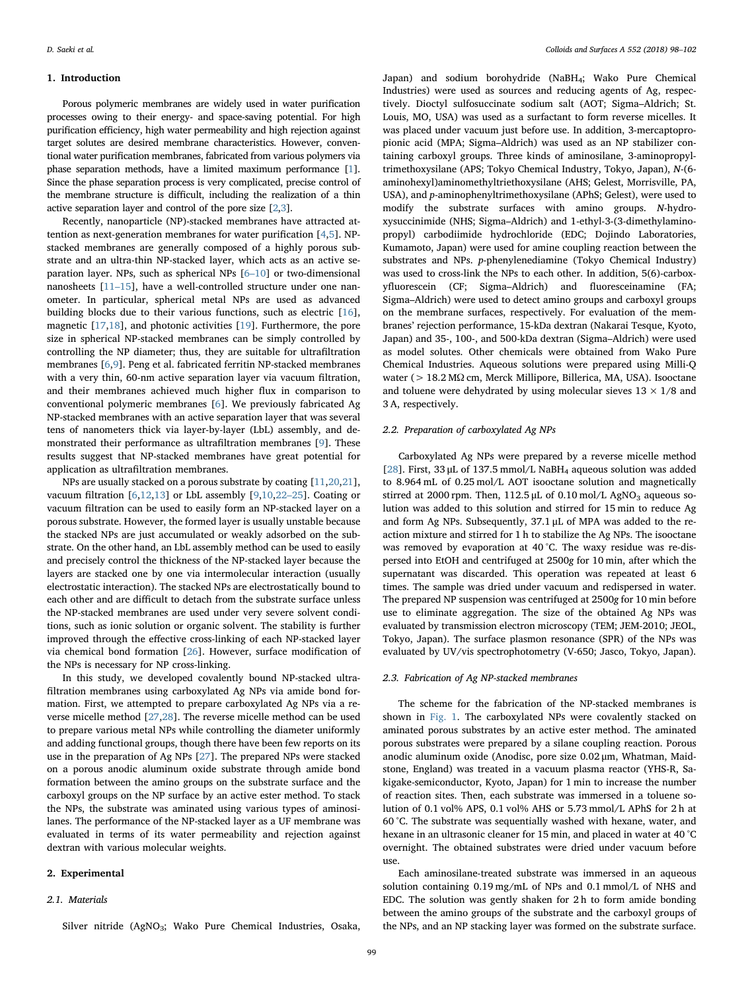## 1. Introduction

Porous polymeric membranes are widely used in water purification processes owing to their energy- and space-saving potential. For high purification efficiency, high water permeability and high rejection against target solutes are desired membrane characteristics. However, conventional water purification membranes, fabricated from various polymers via phase separation methods, have a limited maximum performance [\[1](#page--1-0)]. Since the phase separation process is very complicated, precise control of the membrane structure is difficult, including the realization of a thin active separation layer and control of the pore size [\[2,](#page--1-1)[3](#page--1-2)].

Recently, nanoparticle (NP)-stacked membranes have attracted attention as next-generation membranes for water purification [[4](#page--1-3)[,5\]](#page--1-4). NPstacked membranes are generally composed of a highly porous substrate and an ultra-thin NP-stacked layer, which acts as an active separation layer. NPs, such as spherical NPs [6–[10](#page--1-5)] or two-dimensional nanosheets [\[11](#page--1-6)–15], have a well-controlled structure under one nanometer. In particular, spherical metal NPs are used as advanced building blocks due to their various functions, such as electric [\[16](#page--1-7)], magnetic [\[17](#page--1-8)[,18](#page--1-9)], and photonic activities [\[19](#page--1-10)]. Furthermore, the pore size in spherical NP-stacked membranes can be simply controlled by controlling the NP diameter; thus, they are suitable for ultrafiltration membranes [[6](#page--1-5),[9](#page--1-11)]. Peng et al. fabricated ferritin NP-stacked membranes with a very thin, 60-nm active separation layer via vacuum filtration, and their membranes achieved much higher flux in comparison to conventional polymeric membranes [\[6\]](#page--1-5). We previously fabricated Ag NP-stacked membranes with an active separation layer that was several tens of nanometers thick via layer-by-layer (LbL) assembly, and demonstrated their performance as ultrafiltration membranes [\[9\]](#page--1-11). These results suggest that NP-stacked membranes have great potential for application as ultrafiltration membranes.

NPs are usually stacked on a porous substrate by coating [[11,](#page--1-6)[20,](#page--1-12)[21](#page--1-13)], vacuum filtration [[6](#page--1-5)[,12](#page--1-14),[13\]](#page--1-15) or LbL assembly [[9](#page--1-11),[10,](#page--1-16)22–[25\]](#page--1-17). Coating or vacuum filtration can be used to easily form an NP-stacked layer on a porous substrate. However, the formed layer is usually unstable because the stacked NPs are just accumulated or weakly adsorbed on the substrate. On the other hand, an LbL assembly method can be used to easily and precisely control the thickness of the NP-stacked layer because the layers are stacked one by one via intermolecular interaction (usually electrostatic interaction). The stacked NPs are electrostatically bound to each other and are difficult to detach from the substrate surface unless the NP-stacked membranes are used under very severe solvent conditions, such as ionic solution or organic solvent. The stability is further improved through the effective cross-linking of each NP-stacked layer via chemical bond formation [[26\]](#page--1-18). However, surface modification of the NPs is necessary for NP cross-linking.

In this study, we developed covalently bound NP-stacked ultrafiltration membranes using carboxylated Ag NPs via amide bond formation. First, we attempted to prepare carboxylated Ag NPs via a reverse micelle method [[27,](#page--1-19)[28\]](#page--1-20). The reverse micelle method can be used to prepare various metal NPs while controlling the diameter uniformly and adding functional groups, though there have been few reports on its use in the preparation of Ag NPs [[27\]](#page--1-19). The prepared NPs were stacked on a porous anodic aluminum oxide substrate through amide bond formation between the amino groups on the substrate surface and the carboxyl groups on the NP surface by an active ester method. To stack the NPs, the substrate was aminated using various types of aminosilanes. The performance of the NP-stacked layer as a UF membrane was evaluated in terms of its water permeability and rejection against dextran with various molecular weights.

### 2. Experimental

#### 2.1. Materials

Silver nitride (AgNO<sub>3</sub>; Wako Pure Chemical Industries, Osaka,

Japan) and sodium borohydride (NaBH4; Wako Pure Chemical Industries) were used as sources and reducing agents of Ag, respectively. Dioctyl sulfosuccinate sodium salt (AOT; Sigma–Aldrich; St. Louis, MO, USA) was used as a surfactant to form reverse micelles. It was placed under vacuum just before use. In addition, 3-mercaptopropionic acid (MPA; Sigma–Aldrich) was used as an NP stabilizer containing carboxyl groups. Three kinds of aminosilane, 3-aminopropyltrimethoxysilane (APS; Tokyo Chemical Industry, Tokyo, Japan), N-(6 aminohexyl)aminomethyltriethoxysilane (AHS; Gelest, Morrisville, PA, USA), and p-aminophenyltrimethoxysilane (APhS; Gelest), were used to modify the substrate surfaces with amino groups. N-hydroxysuccinimide (NHS; Sigma–Aldrich) and 1-ethyl-3-(3-dimethylaminopropyl) carbodiimide hydrochloride (EDC; Dojindo Laboratories, Kumamoto, Japan) were used for amine coupling reaction between the substrates and NPs. p-phenylenediamine (Tokyo Chemical Industry) was used to cross-link the NPs to each other. In addition, 5(6)-carboxyfluorescein (CF; Sigma–Aldrich) and fluoresceinamine (FA; Sigma–Aldrich) were used to detect amino groups and carboxyl groups on the membrane surfaces, respectively. For evaluation of the membranes' rejection performance, 15-kDa dextran (Nakarai Tesque, Kyoto, Japan) and 35-, 100-, and 500-kDa dextran (Sigma–Aldrich) were used as model solutes. Other chemicals were obtained from Wako Pure Chemical Industries. Aqueous solutions were prepared using Milli-Q water (> 18.2 MΩ cm, Merck Millipore, Billerica, MA, USA). Isooctane and toluene were dehydrated by using molecular sieves  $13 \times 1/8$  and 3 A, respectively.

#### 2.2. Preparation of carboxylated Ag NPs

Carboxylated Ag NPs were prepared by a reverse micelle method [ $28$ ]. First,  $33 \mu$ L of  $137.5 \text{ mmol/L}$  NaBH<sub>4</sub> aqueous solution was added to 8.964 mL of 0.25 mol/L AOT isooctane solution and magnetically stirred at 2000 rpm. Then,  $112.5 \mu L$  of 0.10 mol/L AgNO<sub>3</sub> aqueous solution was added to this solution and stirred for 15 min to reduce Ag and form Ag NPs. Subsequently, 37.1 μL of MPA was added to the reaction mixture and stirred for 1 h to stabilize the Ag NPs. The isooctane was removed by evaporation at 40 °C. The waxy residue was re-dispersed into EtOH and centrifuged at 2500g for 10 min, after which the supernatant was discarded. This operation was repeated at least 6 times. The sample was dried under vacuum and redispersed in water. The prepared NP suspension was centrifuged at 2500g for 10 min before use to eliminate aggregation. The size of the obtained Ag NPs was evaluated by transmission electron microscopy (TEM; JEM-2010; JEOL, Tokyo, Japan). The surface plasmon resonance (SPR) of the NPs was evaluated by UV/vis spectrophotometry (V-650; Jasco, Tokyo, Japan).

#### 2.3. Fabrication of Ag NP-stacked membranes

The scheme for the fabrication of the NP-stacked membranes is shown in [Fig. 1](#page--1-21). The carboxylated NPs were covalently stacked on aminated porous substrates by an active ester method. The aminated porous substrates were prepared by a silane coupling reaction. Porous anodic aluminum oxide (Anodisc, pore size 0.02 μm, Whatman, Maidstone, England) was treated in a vacuum plasma reactor (YHS-R, Sakigake-semiconductor, Kyoto, Japan) for 1 min to increase the number of reaction sites. Then, each substrate was immersed in a toluene solution of 0.1 vol% APS, 0.1 vol% AHS or 5.73 mmol/L APhS for 2 h at 60 °C. The substrate was sequentially washed with hexane, water, and hexane in an ultrasonic cleaner for 15 min, and placed in water at 40 °C overnight. The obtained substrates were dried under vacuum before use.

Each aminosilane-treated substrate was immersed in an aqueous solution containing 0.19 mg/mL of NPs and 0.1 mmol/L of NHS and EDC. The solution was gently shaken for 2 h to form amide bonding between the amino groups of the substrate and the carboxyl groups of the NPs, and an NP stacking layer was formed on the substrate surface.